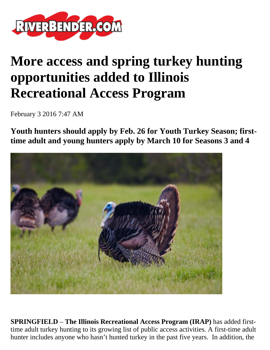

## **More access and spring turkey hunting opportunities added to Illinois Recreational Access Program**

February 3 2016 7:47 AM

**Youth hunters should apply by Feb. 26 for Youth Turkey Season; firsttime adult and young hunters apply by March 10 for Seasons 3 and 4**



**SPRINGFIELD** – **The Illinois Recreational Access Program (IRAP)** has added firsttime adult turkey hunting to its growing list of public access activities. A first-time adult hunter includes anyone who hasn't hunted turkey in the past five years. In addition, the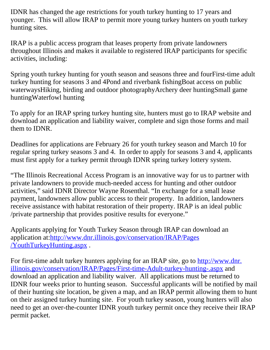IDNR has changed the age restrictions for youth turkey hunting to 17 years and younger. This will allow IRAP to permit more young turkey hunters on youth turkey hunting sites.

IRAP is a public access program that leases property from private landowners throughout Illinois and makes it available to registered IRAP participants for specific activities, including:

Spring youth turkey hunting for youth season and seasons three and fourFirst-time adult turkey hunting for seasons 3 and 4Pond and riverbank fishingBoat access on public waterwaysHiking, birding and outdoor photographyArchery deer huntingSmall game huntingWaterfowl hunting

To apply for an IRAP spring turkey hunting site, hunters must go to IRAP website and download an application and liability waiver, complete and sign those forms and mail them to IDNR.

Deadlines for applications are February 26 for youth turkey season and March 10 for regular spring turkey seasons 3 and 4. In order to apply for seasons 3 and 4, applicants must first apply for a turkey permit through IDNR spring turkey lottery system.

"The Illinois Recreational Access Program is an innovative way for us to partner with private landowners to provide much-needed access for hunting and other outdoor activities," said IDNR Director Wayne Rosenthal. "In exchange for a small lease payment, landowners allow public access to their property. In addition, landowners receive assistance with habitat restoration of their property. IRAP is an ideal public /private partnership that provides positive results for everyone."

Applicants applying for Youth Turkey Season through IRAP can download an application at:[http://www.dnr.illinois.gov/conservation/IRAP/Pages](http://www.dnr.illinois.gov/conservation/IRAP/Pages/YouthTurkeyHunting.aspx) [/YouthTurkeyHunting.aspx](http://www.dnr.illinois.gov/conservation/IRAP/Pages/YouthTurkeyHunting.aspx) .

For first-time adult turkey hunters applying for an IRAP site, go to [http://www.dnr.](http://www.dnr.illinois.gov/conservation/IRAP/Pages/First-time-Adult-turkey-hunting-.aspx) [illinois.gov/conservation/IRAP/Pages/First-time-Adult-turkey-hunting-.aspx](http://www.dnr.illinois.gov/conservation/IRAP/Pages/First-time-Adult-turkey-hunting-.aspx) and download an application and liability waiver. All applications must be returned to IDNR four weeks prior to hunting season. Successful applicants will be notified by mail of their hunting site location, be given a map, and an IRAP permit allowing them to hunt on their assigned turkey hunting site. For youth turkey season, young hunters will also need to get an over-the-counter IDNR youth turkey permit once they receive their IRAP permit packet.